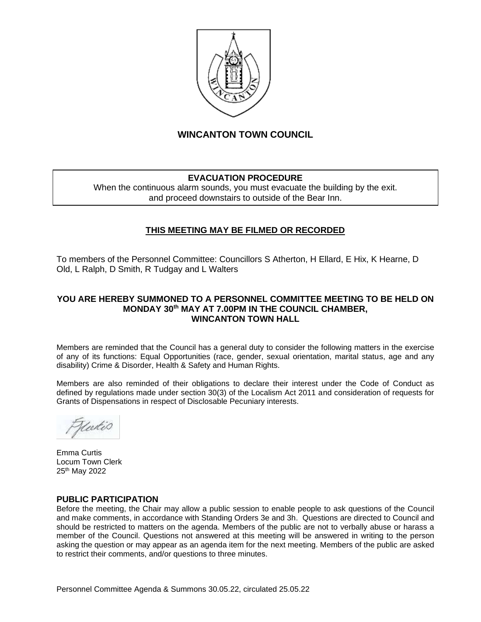

# **WINCANTON TOWN COUNCIL**

# **EVACUATION PROCEDURE**

When the continuous alarm sounds, you must evacuate the building by the exit. and proceed downstairs to outside of the Bear Inn.

# **THIS MEETING MAY BE FILMED OR RECORDED**

To members of the Personnel Committee: Councillors S Atherton, H Ellard, E Hix, K Hearne, D Old, L Ralph, D Smith, R Tudgay and L Walters

#### **YOU ARE HEREBY SUMMONED TO A PERSONNEL COMMITTEE MEETING TO BE HELD ON MONDAY 30th MAY AT 7.00PM IN THE COUNCIL CHAMBER, WINCANTON TOWN HALL**

Members are reminded that the Council has a general duty to consider the following matters in the exercise of any of its functions: Equal Opportunities (race, gender, sexual orientation, marital status, age and any disability) Crime & Disorder, Health & Safety and Human Rights.

Members are also reminded of their obligations to declare their interest under the Code of Conduct as defined by regulations made under section 30(3) of the Localism Act 2011 and consideration of requests for Grants of Dispensations in respect of Disclosable Pecuniary interests.

tutis

Emma Curtis Locum Town Clerk 25th May 2022

#### **PUBLIC PARTICIPATION**

Before the meeting, the Chair may allow a public session to enable people to ask questions of the Council and make comments, in accordance with Standing Orders 3e and 3h. Questions are directed to Council and should be restricted to matters on the agenda. Members of the public are not to verbally abuse or harass a member of the Council. Questions not answered at this meeting will be answered in writing to the person asking the question or may appear as an agenda item for the next meeting. Members of the public are asked to restrict their comments, and/or questions to three minutes.